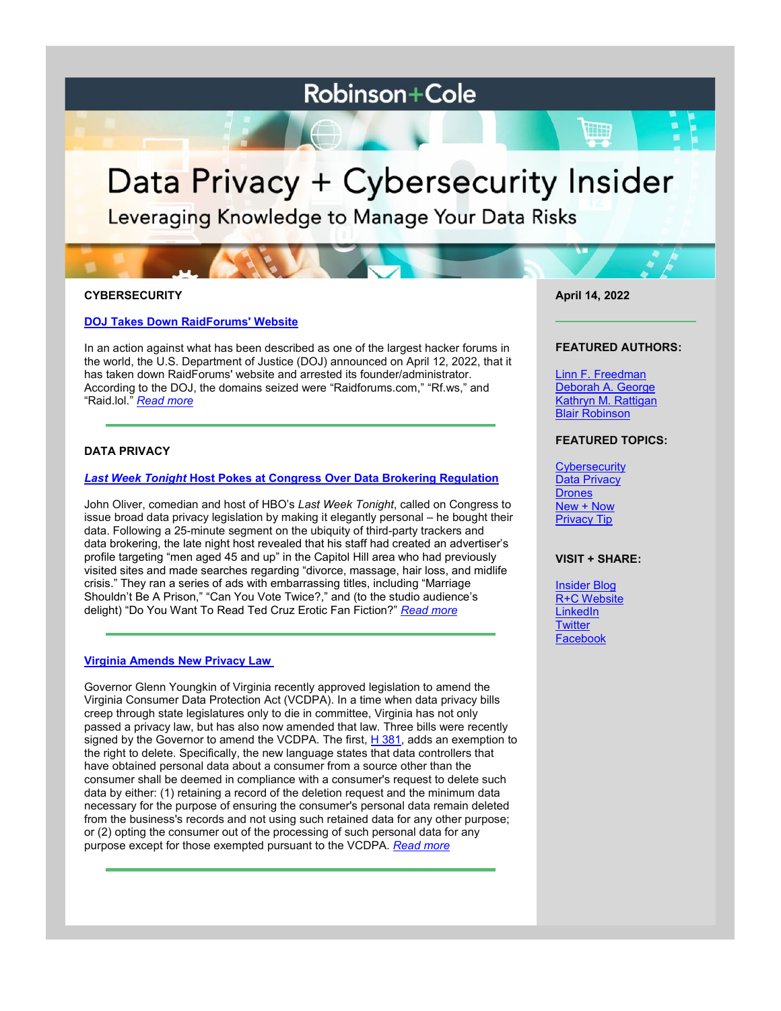# **Robinson+Cole**

# Data Privacy + Cybersecurity Insider

Leveraging Knowledge to Manage Your Data Risks

# **CYBERSECURITY**

# **[DOJ Takes Down RaidForums' Website](https://www.dataprivacyandsecurityinsider.com/2022/04/doj-takes-down-raidforums-website/)**

In an action against what has been described as one of the largest hacker forums in the world, the U.S. Department of Justice (DOJ) announced on April 12, 2022, that it has taken down RaidForums' website and arrested its founder/administrator. According to the DOJ, the domains seized were "Raidforums.com," "Rf.ws," and "Raid.lol." *[Read more](https://www.dataprivacyandsecurityinsider.com/2022/04/doj-takes-down-raidforums-website/)*

# **DATA PRIVACY**

# *[Last Week Tonight](https://www.dataprivacyandsecurityinsider.com/2022/04/last-week-tonight-host-pokes-at-congress-over-data-brokering-regulation/)* **[Host Pokes at Congress Over Data Brokering Regulation](https://www.dataprivacyandsecurityinsider.com/2022/04/last-week-tonight-host-pokes-at-congress-over-data-brokering-regulation/)**

John Oliver, comedian and host of HBO's *Last Week Tonight*, called on Congress to issue broad data privacy legislation by making it elegantly personal – he bought their data. Following a 25-minute segment on the ubiquity of third-party trackers and data brokering, the late night host revealed that his staff had created an advertiser's profile targeting "men aged 45 and up" in the Capitol Hill area who had previously visited sites and made searches regarding "divorce, massage, hair loss, and midlife crisis." They ran a series of ads with embarrassing titles, including "Marriage Shouldn't Be A Prison," "Can You Vote Twice?," and (to the studio audience's delight) "Do You Want To Read Ted Cruz Erotic Fan Fiction?" *[Read more](https://www.dataprivacyandsecurityinsider.com/2022/04/last-week-tonight-host-pokes-at-congress-over-data-brokering-regulation/)*

## **[Virginia Amends New Privacy Law](https://www.dataprivacyandsecurityinsider.com/2022/04/virginia-amends-new-privacy-law/)**

Governor Glenn Youngkin of Virginia recently approved legislation to amend the Virginia Consumer Data Protection Act (VCDPA). In a time when data privacy bills creep through state legislatures only to die in committee, Virginia has not only passed a privacy law, but has also now amended that law. Three bills were recently signed by the Governor to amend the VCDPA. The first,  $H$  381, adds an exemption to the right to delete. Specifically, the new language states that data controllers that have obtained personal data about a consumer from a source other than the consumer shall be deemed in compliance with a consumer's request to delete such data by either: (1) retaining a record of the deletion request and the minimum data necessary for the purpose of ensuring the consumer's personal data remain deleted from the business's records and not using such retained data for any other purpose; or (2) opting the consumer out of the processing of such personal data for any purpose except for those exempted pursuant to the VCDPA. *[Read more](https://www.dataprivacyandsecurityinsider.com/2022/04/virginia-amends-new-privacy-law/)*

**April 14, 2022**

#### **FEATURED AUTHORS:**

[Linn F. Freedman](https://www.rc.com/people/LinnFFreedman.cfm) [Deborah A. George](http://www.rc.com/people/DeborahAGeorge.cfm) [Kathryn M. Rattigan](https://www.rc.com/people/kathrynmrattigan.cfm) Blair Robinson

#### **FEATURED TOPICS:**

**[Cybersecurity](https://www.dataprivacyandsecurityinsider.com/category/cybersecurity/)** [Data Privacy](https://www.dataprivacyandsecurityinsider.com/category/data-privacy/) **[Drones](https://www.dataprivacyandsecurityinsider.com/category/drones/)** [New + Now](https://www.dataprivacyandsecurityinsider.com/category/new-now/) [Privacy Tip](https://www.dataprivacyandsecurityinsider.com/category/privacy-tips/)

#### **VISIT + SHARE:**

[Insider Blog](https://www.dataprivacyandsecurityinsider.com/) [R+C Website](http://www.rc.com/) **[LinkedIn](https://www.linkedin.com/company/robinson-&-cole-llp) [Twitter](https://twitter.com/RobinsonCole) [Facebook](https://www.facebook.com/RobinsonCole-144331422248207/)**